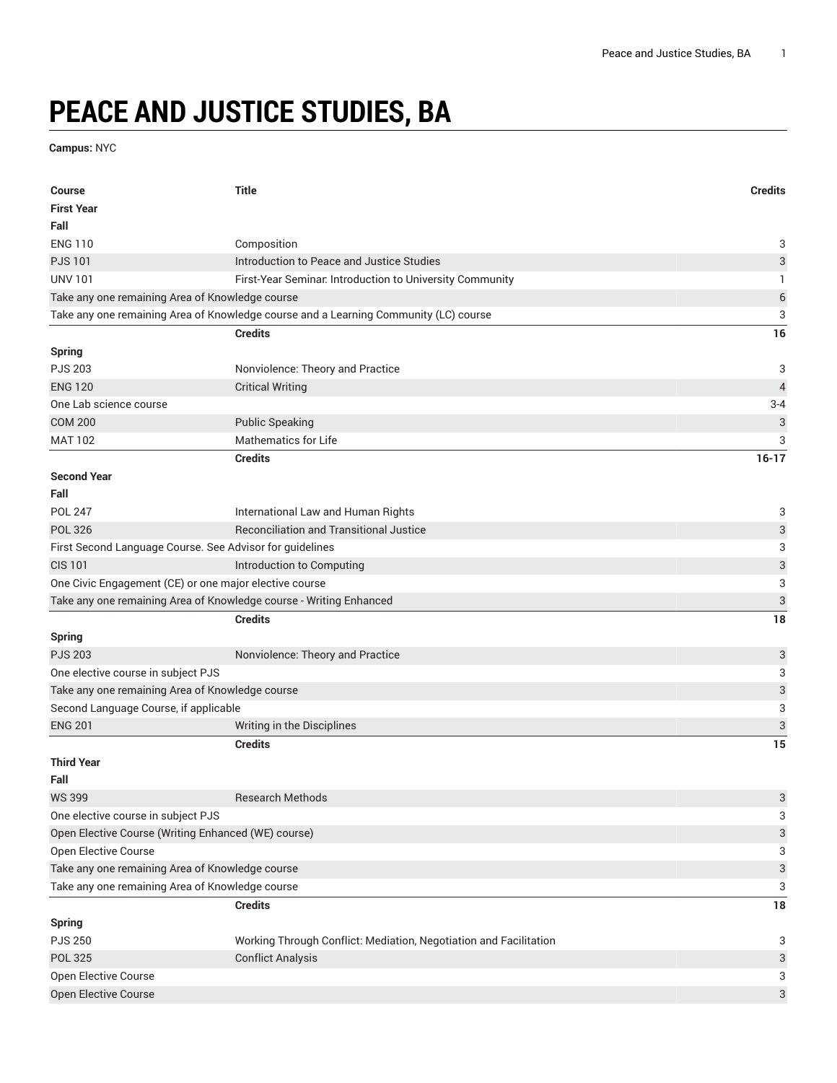## **PEACE AND JUSTICE STUDIES, BA**

**Campus:** NYC

| <b>Course</b>                                                      | <b>Title</b>                                                                         | <b>Credits</b> |
|--------------------------------------------------------------------|--------------------------------------------------------------------------------------|----------------|
| <b>First Year</b>                                                  |                                                                                      |                |
| Fall                                                               |                                                                                      |                |
| <b>ENG 110</b>                                                     | Composition                                                                          | 3              |
| <b>PJS101</b>                                                      | Introduction to Peace and Justice Studies                                            | 3              |
| <b>UNV 101</b>                                                     | First-Year Seminar. Introduction to University Community                             | 1              |
| Take any one remaining Area of Knowledge course                    |                                                                                      | $\,$ 6 $\,$    |
|                                                                    | Take any one remaining Area of Knowledge course and a Learning Community (LC) course | 3              |
|                                                                    | <b>Credits</b>                                                                       | 16             |
| <b>Spring</b>                                                      |                                                                                      |                |
| <b>PJS 203</b>                                                     | Nonviolence: Theory and Practice                                                     | 3              |
| <b>ENG 120</b>                                                     | <b>Critical Writing</b>                                                              | $\overline{4}$ |
| One Lab science course                                             |                                                                                      | $3 - 4$        |
| <b>COM 200</b>                                                     | <b>Public Speaking</b>                                                               | 3              |
| <b>MAT 102</b>                                                     | <b>Mathematics for Life</b>                                                          | 3              |
|                                                                    | <b>Credits</b>                                                                       | $16-17$        |
| <b>Second Year</b>                                                 |                                                                                      |                |
| Fall                                                               |                                                                                      |                |
| <b>POL 247</b>                                                     | International Law and Human Rights                                                   | 3              |
| <b>POL 326</b>                                                     | <b>Reconciliation and Transitional Justice</b>                                       | 3              |
| First Second Language Course. See Advisor for guidelines           |                                                                                      | 3              |
| <b>CIS 101</b>                                                     | Introduction to Computing                                                            | 3              |
| One Civic Engagement (CE) or one major elective course             |                                                                                      | 3              |
| Take any one remaining Area of Knowledge course - Writing Enhanced |                                                                                      | 3              |
|                                                                    | <b>Credits</b>                                                                       | 18             |
| <b>Spring</b>                                                      |                                                                                      |                |
| <b>PJS 203</b>                                                     | Nonviolence: Theory and Practice                                                     | 3              |
| One elective course in subject PJS                                 |                                                                                      | 3              |
| Take any one remaining Area of Knowledge course                    |                                                                                      | 3              |
| Second Language Course, if applicable                              |                                                                                      | 3              |
| <b>ENG 201</b>                                                     | Writing in the Disciplines                                                           | 3              |
|                                                                    | <b>Credits</b>                                                                       | 15             |
| <b>Third Year</b>                                                  |                                                                                      |                |
| Fall                                                               |                                                                                      |                |
| <b>WS 399</b>                                                      | <b>Research Methods</b>                                                              | 3              |
| One elective course in subject PJS                                 |                                                                                      | 3              |
| Open Elective Course (Writing Enhanced (WE) course)                |                                                                                      | 3              |
| Open Elective Course                                               |                                                                                      | 3              |
| Take any one remaining Area of Knowledge course                    |                                                                                      | 3              |
| Take any one remaining Area of Knowledge course                    |                                                                                      | 3              |
|                                                                    | <b>Credits</b>                                                                       | 18             |
| <b>Spring</b>                                                      |                                                                                      |                |
| <b>PJS 250</b>                                                     | Working Through Conflict: Mediation, Negotiation and Facilitation                    | 3              |
| <b>POL 325</b>                                                     | <b>Conflict Analysis</b>                                                             | 3              |
| Open Elective Course                                               |                                                                                      | 3              |
| Open Elective Course                                               |                                                                                      | 3              |